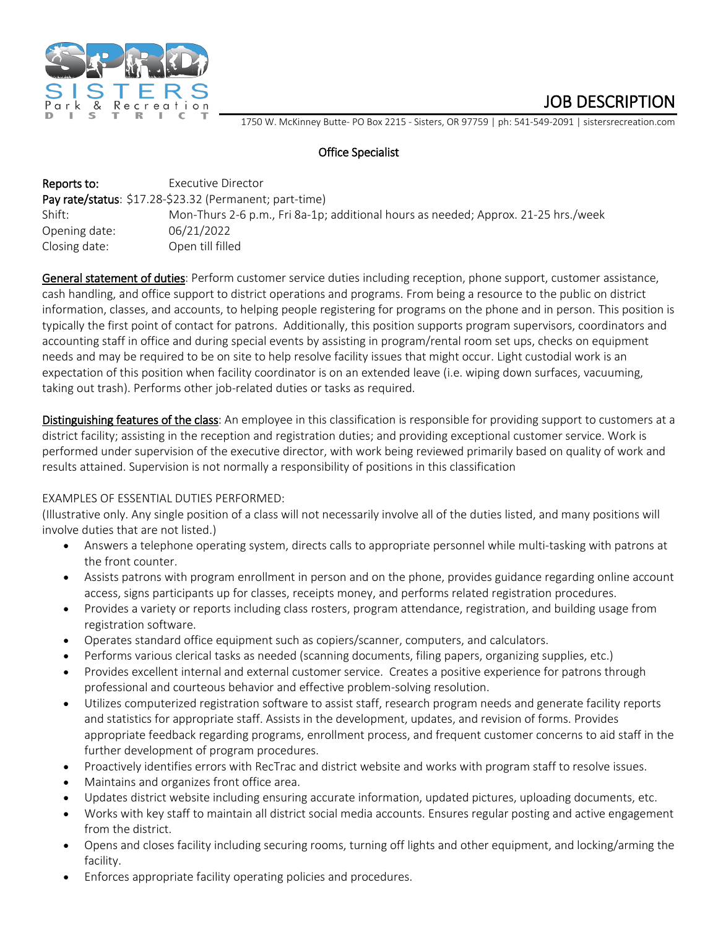

JOB DESCRIPTION<br>1750 W. McKinney Butte- PO Box 2215 - Sisters, OR 97759 | ph: 541-549-2091 | sistersrecreation.com

# Office Specialist

| Reports to:   | Executive Director                                                                 |
|---------------|------------------------------------------------------------------------------------|
|               | Pay rate/status: \$17.28-\$23.32 (Permanent; part-time)                            |
| Shift:        | Mon-Thurs 2-6 p.m., Fri 8a-1p; additional hours as needed; Approx. 21-25 hrs./week |
| Opening date: | 06/21/2022                                                                         |
| Closing date: | Open till filled                                                                   |

General statement of duties: Perform customer service duties including reception, phone support, customer assistance, cash handling, and office support to district operations and programs. From being a resource to the public on district information, classes, and accounts, to helping people registering for programs on the phone and in person. This position is typically the first point of contact for patrons. Additionally, this position supports program supervisors, coordinators and accounting staff in office and during special events by assisting in program/rental room set ups, checks on equipment needs and may be required to be on site to help resolve facility issues that might occur. Light custodial work is an expectation of this position when facility coordinator is on an extended leave (i.e. wiping down surfaces, vacuuming, taking out trash). Performs other job-related duties or tasks as required.

Distinguishing features of the class: An employee in this classification is responsible for providing support to customers at a district facility; assisting in the reception and registration duties; and providing exceptional customer service. Work is performed under supervision of the executive director, with work being reviewed primarily based on quality of work and results attained. Supervision is not normally a responsibility of positions in this classification

### EXAMPLES OF ESSENTIAL DUTIES PERFORMED:

(Illustrative only. Any single position of a class will not necessarily involve all of the duties listed, and many positions will involve duties that are not listed.)

- Answers a telephone operating system, directs calls to appropriate personnel while multi-tasking with patrons at the front counter.
- Assists patrons with program enrollment in person and on the phone, provides guidance regarding online account access, signs participants up for classes, receipts money, and performs related registration procedures.
- Provides a variety or reports including class rosters, program attendance, registration, and building usage from registration software.
- Operates standard office equipment such as copiers/scanner, computers, and calculators.
- Performs various clerical tasks as needed (scanning documents, filing papers, organizing supplies, etc.)
- Provides excellent internal and external customer service. Creates a positive experience for patrons through professional and courteous behavior and effective problem-solving resolution.
- Utilizes computerized registration software to assist staff, research program needs and generate facility reports and statistics for appropriate staff. Assists in the development, updates, and revision of forms. Provides appropriate feedback regarding programs, enrollment process, and frequent customer concerns to aid staff in the further development of program procedures.
- Proactively identifies errors with RecTrac and district website and works with program staff to resolve issues.
- Maintains and organizes front office area.
- Updates district website including ensuring accurate information, updated pictures, uploading documents, etc.
- Works with key staff to maintain all district social media accounts. Ensures regular posting and active engagement from the district.
- Opens and closes facility including securing rooms, turning off lights and other equipment, and locking/arming the facility.
- Enforces appropriate facility operating policies and procedures.